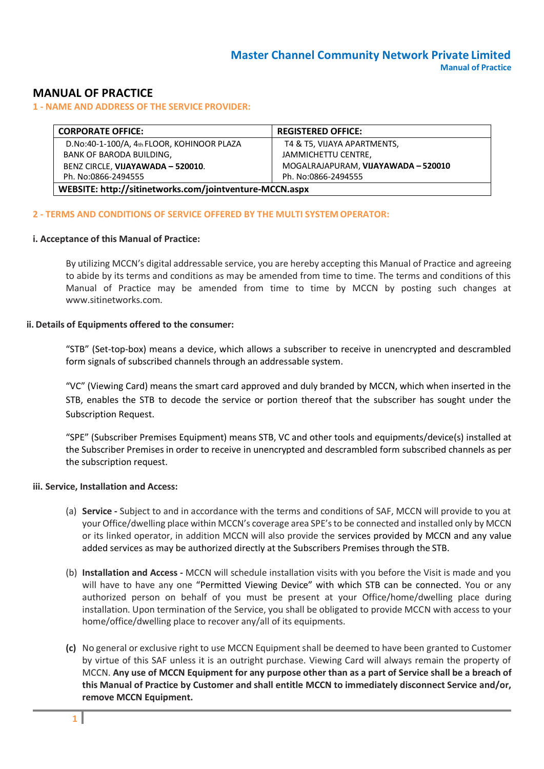# **MANUAL OF PRACTICE**

### **1 - NAME AND ADDRESS OF THE SERVICE PROVIDER:**

| <b>CORPORATE OFFICE:</b>                                | <b>REGISTERED OFFICE:</b>           |  |
|---------------------------------------------------------|-------------------------------------|--|
| D.No:40-1-100/A, 4th FLOOR, KOHINOOR PLAZA              | T4 & T5, VIJAYA APARTMENTS,         |  |
| <b>BANK OF BARODA BUILDING,</b>                         | JAMMICHETTU CENTRE,                 |  |
| BENZ CIRCLE, VIJAYAWADA - 520010.                       | MOGALRAJAPURAM, VIJAYAWADA - 520010 |  |
| Ph. No:0866-2494555                                     | Ph. No:0866-2494555                 |  |
| WEBSITE: http://sitinetworks.com/jointventure-MCCN.aspx |                                     |  |

#### **2 - TERMS AND CONDITIONS OF SERVICE OFFERED BY THE MULTI SYSTEM OPERATOR:**

#### **i. Acceptance of this Manual of Practice:**

By utilizing MCCN's digital addressable service, you are hereby accepting this Manual of Practice and agreeing to abide by its terms and conditions as may be amended from time to time. The terms and conditions of this Manual of Practice may be amended from time to time by MCCN by posting such changes at [www.sitinetworks.com.](http://www.sitinetworks.com/)

#### **ii. Details of Equipments offered to the consumer:**

"STB" (Set-top-box) means a device, which allows a subscriber to receive in unencrypted and descrambled form signals of subscribed channels through an addressable system.

"VC" (Viewing Card) means the smart card approved and duly branded by MCCN, which when inserted in the STB, enables the STB to decode the service or portion thereof that the subscriber has sought under the Subscription Request.

"SPE" (Subscriber Premises Equipment) means STB, VC and other tools and equipments/device(s) installed at the Subscriber Premises in order to receive in unencrypted and descrambled form subscribed channels as per the subscription request.

### **iii. Service, Installation and Access:**

- (a) **Service -** Subject to and in accordance with the terms and conditions of SAF, MCCN will provide to you at your Office/dwelling place within MCCN's coverage area SPE'sto be connected and installed only by MCCN or its linked operator, in addition MCCN will also provide the services provided by MCCN and any value added services as may be authorized directly at the Subscribers Premises through the STB.
- (b) **Installation and Access -** MCCN will schedule installation visits with you before the Visit is made and you will have to have any one "Permitted Viewing Device" with which STB can be connected. You or any authorized person on behalf of you must be present at your Office/home/dwelling place during installation. Upon termination of the Service, you shall be obligated to provide MCCN with access to your home/office/dwelling place to recover any/all of its equipments.
- **(c)** No general or exclusive right to use MCCN Equipmentshall be deemed to have been granted to Customer by virtue of this SAF unless it is an outright purchase. Viewing Card will always remain the property of MCCN. Any use of MCCN Equipment for any purpose other than as a part of Service shall be a breach of **this Manual of Practice by Customer and shall entitle MCCN to immediately disconnect Service and/or, remove MCCN Equipment.**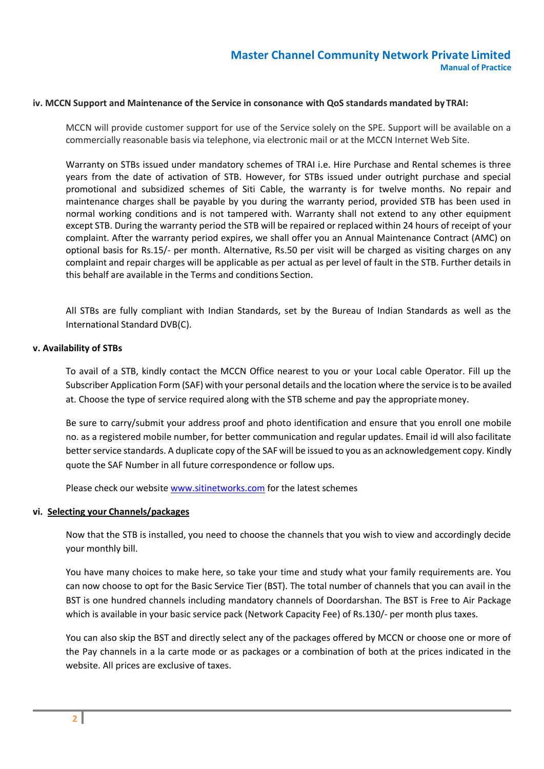#### **iv. MCCN Support and Maintenance of the Service in consonance with QoS standards mandated by TRAI:**

MCCN will provide customer support for use of the Service solely on the SPE. Support will be available on a commercially reasonable basis via telephone, via electronic mail or at the MCCN Internet Web Site.

Warranty on STBs issued under mandatory schemes of TRAI i.e. Hire Purchase and Rental schemes is three years from the date of activation of STB. However, for STBs issued under outright purchase and special promotional and subsidized schemes of Siti Cable, the warranty is for twelve months. No repair and maintenance charges shall be payable by you during the warranty period, provided STB has been used in normal working conditions and is not tampered with. Warranty shall not extend to any other equipment except STB. During the warranty period the STB will be repaired or replaced within 24 hours of receipt of your complaint. After the warranty period expires, we shall offer you an Annual Maintenance Contract (AMC) on optional basis for Rs.15/- per month. Alternative, Rs.50 per visit will be charged as visiting charges on any complaint and repair charges will be applicable as per actual as per level of fault in the STB. Further details in this behalf are available in the Terms and conditions Section.

All STBs are fully compliant with Indian Standards, set by the Bureau of Indian Standards as well as the International Standard DVB(C).

#### **v. Availability of STBs**

To avail of a STB, kindly contact the MCCN Office nearest to you or your Local cable Operator. Fill up the Subscriber Application Form (SAF) with your personal details and the location where the service isto be availed at. Choose the type of service required along with the STB scheme and pay the appropriatemoney.

Be sure to carry/submit your address proof and photo identification and ensure that you enroll one mobile no. as a registered mobile number, for better communication and regular updates. Email id will also facilitate better service standards. A duplicate copy of the SAF will be issued to you as an acknowledgement copy. Kindly quote the SAF Number in all future correspondence or follow ups.

Please check our websit[e www.sitinetworks.com](http://www.siticable.com/) for the latest schemes

#### **vi. Selecting your Channels/packages**

Now that the STB is installed, you need to choose the channels that you wish to view and accordingly decide your monthly bill.

You have many choices to make here, so take your time and study what your family requirements are. You can now choose to opt for the Basic Service Tier (BST). The total number of channels that you can avail in the BST is one hundred channels including mandatory channels of Doordarshan. The BST is Free to Air Package which is available in your basic service pack (Network Capacity Fee) of Rs.130/- per month plus taxes.

You can also skip the BST and directly select any of the packages offered by MCCN or choose one or more of the Pay channels in a la carte mode or as packages or a combination of both at the prices indicated in the website. All prices are exclusive of taxes.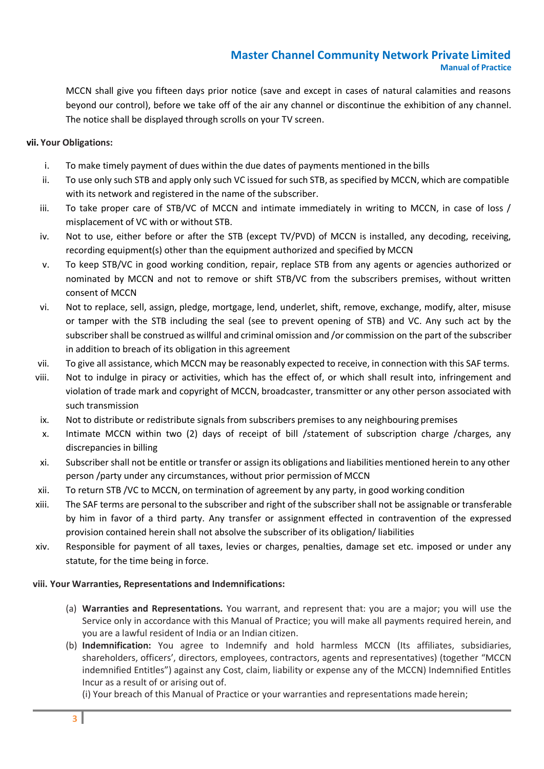MCCN shall give you fifteen days prior notice (save and except in cases of natural calamities and reasons beyond our control), before we take off of the air any channel or discontinue the exhibition of any channel. The notice shall be displayed through scrolls on your TV screen.

## **vii. Your Obligations:**

- i. To make timely payment of dues within the due dates of payments mentioned in the bills
- ii. To use only such STB and apply only such VC issued for such STB, as specified by MCCN, which are compatible with its network and registered in the name of the subscriber.
- iii. To take proper care of STB/VC of MCCN and intimate immediately in writing to MCCN, in case of loss / misplacement of VC with or without STB.
- iv. Not to use, either before or after the STB (except TV/PVD) of MCCN is installed, any decoding, receiving, recording equipment(s) other than the equipment authorized and specified by MCCN
- v. To keep STB/VC in good working condition, repair, replace STB from any agents or agencies authorized or nominated by MCCN and not to remove or shift STB/VC from the subscribers premises, without written consent of MCCN
- vi. Not to replace, sell, assign, pledge, mortgage, lend, underlet, shift, remove, exchange, modify, alter, misuse or tamper with the STB including the seal (see to prevent opening of STB) and VC. Any such act by the subscriber shall be construed as willful and criminal omission and /or commission on the part of the subscriber in addition to breach of its obligation in this agreement
- vii. To give all assistance, which MCCN may be reasonably expected to receive, in connection with this SAF terms.
- viii. Not to indulge in piracy or activities, which has the effect of, or which shall result into, infringement and violation of trade mark and copyright of MCCN, broadcaster, transmitter or any other person associated with such transmission
- ix. Not to distribute or redistribute signals from subscribers premises to any neighbouring premises
- x. Intimate MCCN within two (2) days of receipt of bill /statement of subscription charge /charges, any discrepancies in billing
- xi. Subscriber shall not be entitle or transfer or assign its obligations and liabilities mentioned herein to any other person /party under any circumstances, without prior permission of MCCN
- xii. To return STB /VC to MCCN, on termination of agreement by any party, in good working condition
- xiii. The SAF terms are personal to the subscriber and right of the subscriber shall not be assignable or transferable by him in favor of a third party. Any transfer or assignment effected in contravention of the expressed provision contained herein shall not absolve the subscriber of its obligation/ liabilities
- xiv. Responsible for payment of all taxes, levies or charges, penalties, damage set etc. imposed or under any statute, for the time being in force.

## **viii. Your Warranties, Representations and Indemnifications:**

- (a) **Warranties and Representations.** You warrant, and represent that: you are a major; you will use the Service only in accordance with this Manual of Practice; you will make all payments required herein, and you are a lawful resident of India or an Indian citizen.
- (b) **Indemnification:** You agree to Indemnify and hold harmless MCCN (Its affiliates, subsidiaries, shareholders, officers', directors, employees, contractors, agents and representatives) (together "MCCN indemnified Entitles") against any Cost, claim, liability or expense any of the MCCN) Indemnified Entitles Incur as a result of or arising out of.

(i) Your breach of this Manual of Practice or your warranties and representations made herein;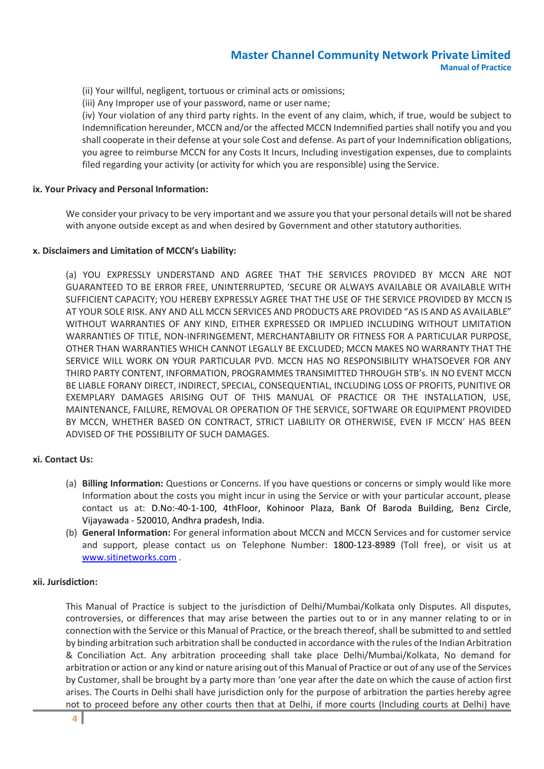- (ii) Your willful, negligent, tortuous or criminal acts or omissions;
- (iii) Any Improper use of your password, name or user name;

(iv) Your violation of any third party rights. In the event of any claim, which, if true, would be subject to Indemnification hereunder, MCCN and/or the affected MCCN Indemnified parties shall notify you and you shall cooperate in their defense at yoursole Cost and defense. As part of your Indemnification obligations, you agree to reimburse MCCN for any Costs It Incurs, Including investigation expenses, due to complaints filed regarding your activity (or activity for which you are responsible) using the Service.

#### **ix. Your Privacy and Personal Information:**

We consider your privacy to be very important and we assure you that your personal details will not be shared with anyone outside except as and when desired by Government and other statutory authorities.

#### **x. Disclaimers and Limitation of MCCN's Liability:**

(a) YOU EXPRESSLY UNDERSTAND AND AGREE THAT THE SERVICES PROVIDED BY MCCN ARE NOT GUARANTEED TO BE ERROR FREE, UNINTERRUPTED, 'SECURE OR ALWAYS AVAILABLE OR AVAILABLE WITH SUFFICIENT CAPACITY; YOU HEREBY EXPRESSLY AGREE THAT THE USE OF THE SERVICE PROVIDED BY MCCN IS AT YOUR SOLE RISK. ANY AND ALL MCCN SERVICES AND PRODUCTS ARE PROVIDED "AS IS AND AS AVAILABLE" WITHOUT WARRANTIES OF ANY KIND, EITHER EXPRESSED OR IMPLIED INCLUDING WITHOUT LIMITATION WARRANTIES OF TITLE, NON-INFRINGEMENT, MERCHANTABILITY OR FITNESS FOR A PARTICULAR PURPOSE, OTHER THAN WARRANTIES WHICH CANNOT LEGALLY BE EXCLUDED; MCCN MAKES NO WARRANTY THAT THE SERVICE WILL WORK ON YOUR PARTICULAR PVD. MCCN HAS NO RESPONSIBILITY WHATSOEVER FOR ANY THIRD PARTY CONTENT, INFORMATION, PROGRAMMES TRANSIMITTED THROUGH STB's. IN NO EVENT MCCN BE LIABLE FORANY DIRECT, INDIRECT, SPECIAL, CONSEQUENTIAL, INCLUDING LOSS OF PROFITS, PUNITIVE OR EXEMPLARY DAMAGES ARISING OUT OF THIS MANUAL OF PRACTICE OR THE INSTALLATION, USE, MAINTENANCE, FAILURE, REMOVAL OR OPERATION OF THE SERVICE, SOFTWARE OR EQUIPMENT PROVIDED BY MCCN, WHETHER BASED ON CONTRACT, STRICT LIABILITY OR OTHERWISE, EVEN IF MCCN' HAS BEEN ADVISED OF THE POSSIBILITY OF SUCH DAMAGES.

### **xi. Contact Us:**

- (a) **Billing Information:** Questions or Concerns. If you have questions or concerns or simply would like more Information about the costs you might incur in using the Service or with your particular account, please contact us at: D.No:-40-1-100, 4thFloor, Kohinoor Plaza, Bank Of Baroda Building, Benz Circle, Vijayawada - 520010, Andhra pradesh, India.
- (b) **General Information:** For general information about MCCN and MCCN Services and for customer service and support, please contact us on Telephone Number: 1800-123-8989 (Toll free), or visit us at [www.sitinetworks.com](http://www.siticable.com/) .

#### **xii. Jurisdiction:**

This Manual of Practice is subject to the jurisdiction of Delhi/Mumbai/Kolkata only Disputes. All disputes, controversies, or differences that may arise between the parties out to or in any manner relating to or in connection with the Service or this Manual of Practice, or the breach thereof,shall be submitted to and settled by binding arbitration such arbitration shall be conducted in accordance with the rules of the Indian Arbitration & Conciliation Act. Any arbitration proceeding shall take place Delhi/Mumbai/Kolkata, No demand for arbitration or action or any kind or nature arising out of this Manual of Practice or out of any use of the Services by Customer, shall be brought by a party more than 'one year after the date on which the cause of action first arises. The Courts in Delhi shall have jurisdiction only for the purpose of arbitration the parties hereby agree not to proceed before any other courts then that at Delhi, if more courts (Including courts at Delhi) have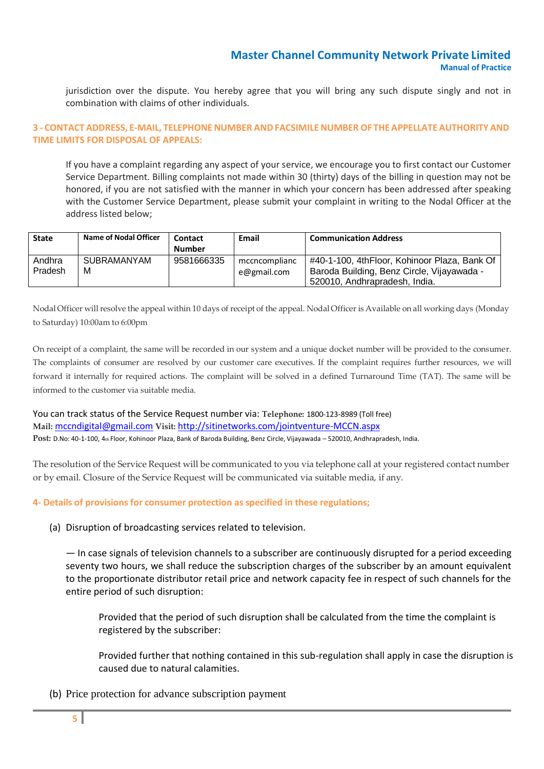jurisdiction over the dispute. You hereby agree that you will bring any such dispute singly and not in combination with claims of other individuals.

### **3 - CONTACT ADDRESS, E-MAIL, TELEPHONE NUMBER ANDFACSIMILE NUMBER OF THEAPPELLATEAUTHORITY AND TIME LIMITS FOR DISPOSAL OF APPEALS:**

If you have a complaint regarding any aspect of your service, we encourage you to first contact our Customer Service Department. Billing complaints not made within 30 (thirty) days of the billing in question may not be honored, if you are not satisfied with the manner in which your concern has been addressed after speaking with the Customer Service Department, please submit your complaint in writing to the Nodal Officer at the address listed below;

| <b>State</b> | Name of Nodal Officer | Contact       | Email         | <b>Communication Address</b>                 |
|--------------|-----------------------|---------------|---------------|----------------------------------------------|
|              |                       | <b>Number</b> |               |                                              |
| Andhra       | SUBRAMANYAM           | 9581666335    | mccncomplianc | #40-1-100, 4thFloor, Kohinoor Plaza, Bank Of |
| Pradesh      | M                     |               | e@gmail.com   | Baroda Building, Benz Circle, Vijayawada -   |
|              |                       |               |               | 520010, Andhrapradesh, India.                |

Nodal Officer willresolve the appeal within 10 days of receipt of the appeal. Nodal Officer is Available on all working days (Monday to Saturday) 10:00am to 6:00pm

On receipt of a complaint, the same will be recorded in our system and a unique docket number will be provided to the consumer. The complaints of consumer are resolved by our customer care executives. If the complaint requires further resources, we will forward it internally for required actions. The complaint will be solved in a defined Turnaround Time (TAT). The same will be informed to the customer via suitable media.

You can track status of the Service Request number via: **Telephone:** 1800-123-8989 (Toll free) **Mail:** [mccndigital@gmail.com](mailto:mccndigital@gmail.com) **Visit:** <http://sitinetworks.com/jointventure-MCCN.aspx> Post: D.No: 40-1-100, 4th Floor, Kohinoor Plaza, Bank of Baroda Building, Benz Circle, Vijayawada – 520010, Andhrapradesh, India.

The resolution of the Service Request will be communicated to you via telephone call at your registered contact number or by email. Closure of the Service Request will be communicated via suitable media, if any.

## **4- Details of provisions for consumer protection as specified in these regulations;**

(a) Disruption of broadcasting services related to television.

— In case signals of television channels to a subscriber are continuously disrupted for a period exceeding seventy two hours, we shall reduce the subscription charges of the subscriber by an amount equivalent to the proportionate distributor retail price and network capacity fee in respect of such channels for the entire period of such disruption:

Provided that the period of such disruption shall be calculated from the time the complaint is registered by the subscriber:

Provided further that nothing contained in this sub-regulation shall apply in case the disruption is caused due to natural calamities.

(b) Price protection for advance subscription payment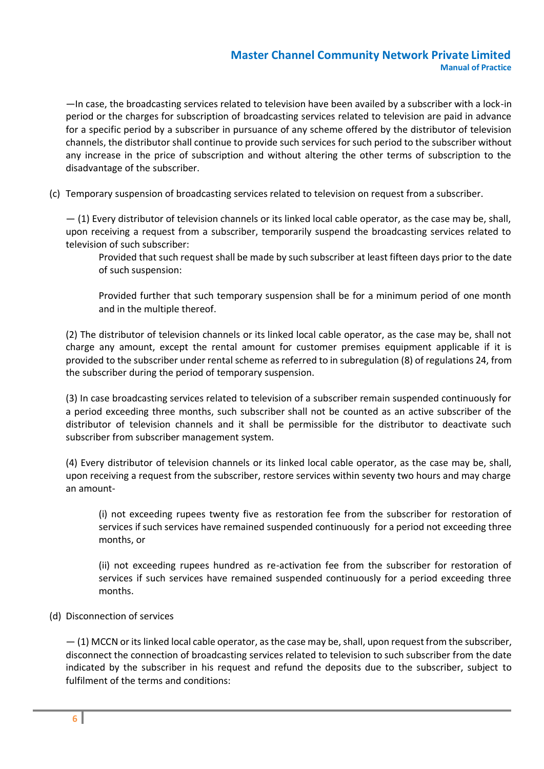—In case, the broadcasting services related to television have been availed by a subscriber with a lock-in period or the charges for subscription of broadcasting services related to television are paid in advance for a specific period by a subscriber in pursuance of any scheme offered by the distributor of television channels, the distributor shall continue to provide such services for such period to the subscriber without any increase in the price of subscription and without altering the other terms of subscription to the disadvantage of the subscriber.

(c) Temporary suspension of broadcasting services related to television on request from a subscriber.

— (1) Every distributor of television channels or its linked local cable operator, as the case may be, shall, upon receiving a request from a subscriber, temporarily suspend the broadcasting services related to television of such subscriber:

Provided that such request shall be made by such subscriber at least fifteen days prior to the date of such suspension:

Provided further that such temporary suspension shall be for a minimum period of one month and in the multiple thereof.

(2) The distributor of television channels or its linked local cable operator, as the case may be, shall not charge any amount, except the rental amount for customer premises equipment applicable if it is provided to the subscriber under rental scheme asreferred to in subregulation (8) of regulations 24, from the subscriber during the period of temporary suspension.

(3) In case broadcasting services related to television of a subscriber remain suspended continuously for a period exceeding three months, such subscriber shall not be counted as an active subscriber of the distributor of television channels and it shall be permissible for the distributor to deactivate such subscriber from subscriber management system.

(4) Every distributor of television channels or its linked local cable operator, as the case may be, shall, upon receiving a request from the subscriber, restore services within seventy two hours and may charge an amount-

(i) not exceeding rupees twenty five as restoration fee from the subscriber for restoration of services if such services have remained suspended continuously for a period not exceeding three months, or

(ii) not exceeding rupees hundred as re-activation fee from the subscriber for restoration of services if such services have remained suspended continuously for a period exceeding three months.

## (d) Disconnection of services

 $-$  (1) MCCN or its linked local cable operator, as the case may be, shall, upon request from the subscriber, disconnect the connection of broadcasting services related to television to such subscriber from the date indicated by the subscriber in his request and refund the deposits due to the subscriber, subject to fulfilment of the terms and conditions: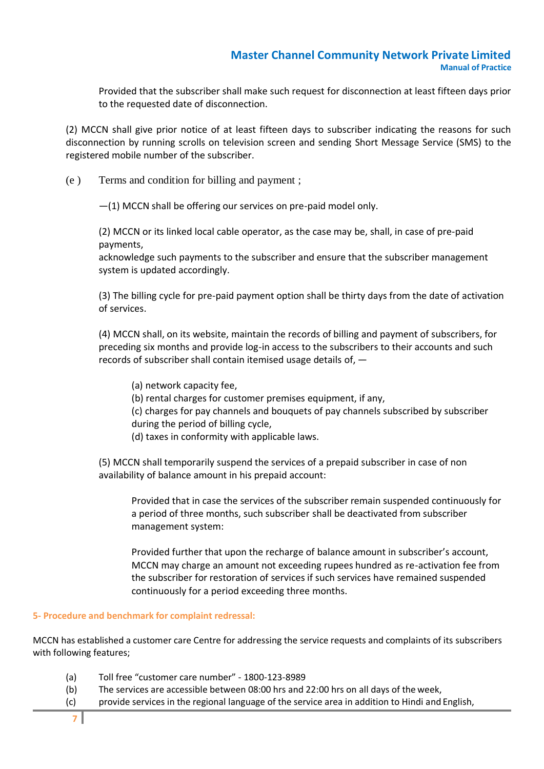Provided that the subscriber shall make such request for disconnection at least fifteen days prior to the requested date of disconnection.

(2) MCCN shall give prior notice of at least fifteen days to subscriber indicating the reasons for such disconnection by running scrolls on television screen and sending Short Message Service (SMS) to the registered mobile number of the subscriber.

(e ) Terms and condition for billing and payment ;

—(1) MCCN shall be offering our services on pre-paid model only.

(2) MCCN or its linked local cable operator, as the case may be, shall, in case of pre-paid payments,

acknowledge such payments to the subscriber and ensure that the subscriber management system is updated accordingly.

(3) The billing cycle for pre-paid payment option shall be thirty days from the date of activation of services.

(4) MCCN shall, on its website, maintain the records of billing and payment of subscribers, for preceding six months and provide log-in access to the subscribers to their accounts and such records of subscriber shall contain itemised usage details of, —

(a) network capacity fee, (b) rental charges for customer premises equipment, if any, (c) charges for pay channels and bouquets of pay channels subscribed by subscriber during the period of billing cycle, (d) taxes in conformity with applicable laws.

(5) MCCN shall temporarily suspend the services of a prepaid subscriber in case of non

availability of balance amount in his prepaid account:

Provided that in case the services of the subscriber remain suspended continuously for a period of three months, such subscriber shall be deactivated from subscriber management system:

Provided further that upon the recharge of balance amount in subscriber's account, MCCN may charge an amount not exceeding rupees hundred as re-activation fee from the subscriber for restoration of services if such services have remained suspended continuously for a period exceeding three months.

### **5- Procedure and benchmark for complaint redressal:**

MCCN has established a customer care Centre for addressing the service requests and complaints of its subscribers with following features;

- (a) Toll free "customer care number" 1800-123-8989
- (b) The services are accessible between 08:00 hrs and 22:00 hrs on all days of the week,
- (c) provide services in the regional language of the service area in addition to Hindi and English,